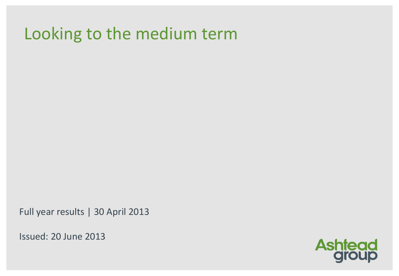# Looking to the medium term

Full year results | 30 April 2013

Issued: 20 June 2013

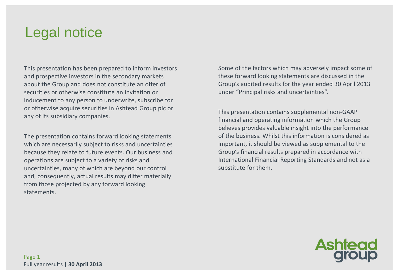## Legal notice

This presentation has been prepared to inform investors and prospective investors in the secondary markets about the Group and does not constitute an offer of securities or otherwise constitute an invitation or inducement to any person to underwrite, subscribe for or otherwise acquire securities in Ashtead Group plc or any of its subsidiary companies.

The presentation contains forward looking statements which are necessarily subject to risks and uncertainties because they relate to future events. Our business and operations are subject to a variety of risks and uncertainties, many of which are beyond our control and, consequently, actual results may differ materially from those projected by any forward looking statements.

Some of the factors which may adversely impact some of these forward looking statements are discussed in the Group's audited results for the year ended 30 April 2013 under "Principal risks and uncertainties".

This presentation contains supplemental non-GAAP financial and operating information which the Group believes provides valuable insight into the performance of the business. Whilst this information is considered as important, it should be viewed as supplemental to the Group's financial results prepared in accordance with International Financial Reporting Standards and not as a substitute for them.

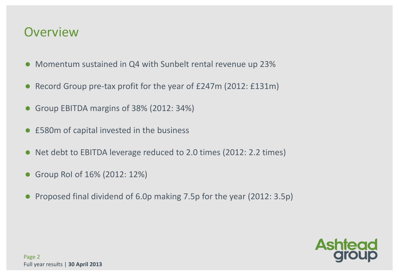### **Overview**

- Momentum sustained in Q4 with Sunbelt rental revenue up 23%
- Record Group pre-tax profit for the year of £247m (2012: £131m)
- Group EBITDA margins of 38% (2012: 34%)
- £580m of capital invested in the business
- Net debt to EBITDA leverage reduced to 2.0 times (2012: 2.2 times)
- Group RoI of 16% (2012: 12%)
- Proposed final dividend of 6.0p making 7.5p for the year (2012: 3.5p)

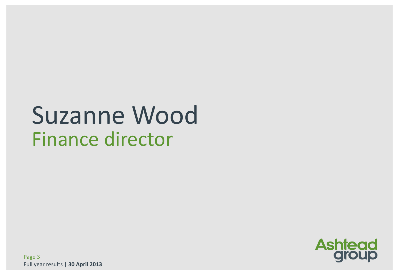# Suzanne Wood Finance director

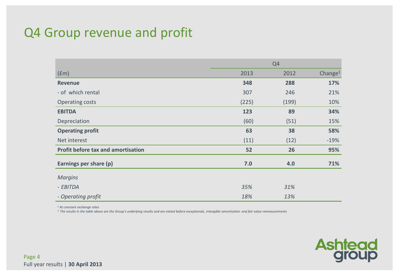### Q4 Group revenue and profit

|                                    |       | Q <sub>4</sub> |                     |
|------------------------------------|-------|----------------|---------------------|
| (fm)                               | 2013  | 2012           | Change <sup>1</sup> |
| <b>Revenue</b>                     | 348   | 288            | 17%                 |
| - of which rental                  | 307   | 246            | 21%                 |
| Operating costs                    | (225) | (199)          | 10%                 |
| <b>EBITDA</b>                      | 123   | 89             | 34%                 |
| Depreciation                       | (60)  | (51)           | 15%                 |
| <b>Operating profit</b>            | 63    | 38             | 58%                 |
| Net interest                       | (11)  | (12)           | $-19%$              |
| Profit before tax and amortisation | 52    | 26             | 95%                 |
| Earnings per share (p)             | 7.0   | 4.0            | 71%                 |
| <b>Margins</b>                     |       |                |                     |
| - EBITDA                           | 35%   | 31%            |                     |
| - Operating profit                 | 18%   | 13%            |                     |

*<sup>1</sup> At constant exchange rates*

*<sup>2</sup>The results in the table above are the Group's underlying results and are stated before exceptionals, intangible amortisation and fair value remeasurements*

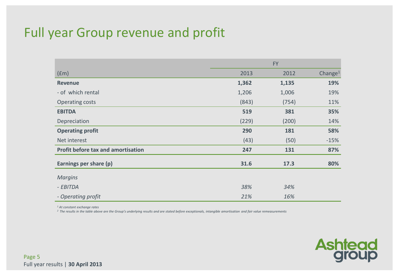### Full year Group revenue and profit

|                                           |       | <b>FY</b> |                     |
|-------------------------------------------|-------|-----------|---------------------|
| (fm)                                      | 2013  | 2012      | Change <sup>1</sup> |
| <b>Revenue</b>                            | 1,362 | 1,135     | 19%                 |
| - of which rental                         | 1,206 | 1,006     | 19%                 |
| Operating costs                           | (843) | (754)     | 11%                 |
| <b>EBITDA</b>                             | 519   | 381       | 35%                 |
| Depreciation                              | (229) | (200)     | 14%                 |
| <b>Operating profit</b>                   | 290   | 181       | 58%                 |
| Net interest                              | (43)  | (50)      | $-15%$              |
| <b>Profit before tax and amortisation</b> | 247   | 131       | 87%                 |
| Earnings per share (p)                    | 31.6  | 17.3      | 80%                 |
| <b>Margins</b>                            |       |           |                     |
| - EBITDA                                  | 38%   | 34%       |                     |
| - Operating profit                        | 21%   | 16%       |                     |

*<sup>1</sup> At constant exchange rates*

*<sup>2</sup>The results in the table above are the Group's underlying results and are stated before exceptionals, intangible amortisation and fair value remeasurements*

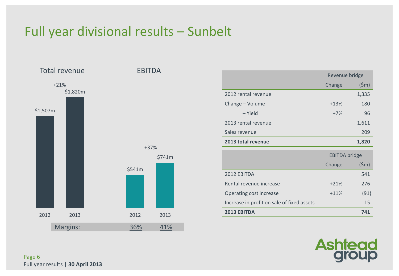### Full year divisional results – Sunbelt



|                     | Revenue bridge |       |
|---------------------|----------------|-------|
|                     | Change         | (5m)  |
| 2012 rental revenue |                | 1,335 |
| Change - Volume     | $+13%$         | 180   |
| – Yield             | $+7%$          | 96    |
| 2013 rental revenue |                | 1,611 |
| Sales revenue       |                | 209   |
| 2013 total revenue  |                | 1,820 |

|                                            | <b>EBITDA</b> bridge |                 |
|--------------------------------------------|----------------------|-----------------|
|                                            | Change               | $(\mathsf{5m})$ |
| 2012 EBITDA                                |                      | 541             |
| Rental revenue increase                    | $+21%$               | 276             |
| Operating cost increase                    | $+11%$               | (91)            |
| Increase in profit on sale of fixed assets |                      | 15              |
| <b>2013 EBITDA</b>                         |                      | 741             |

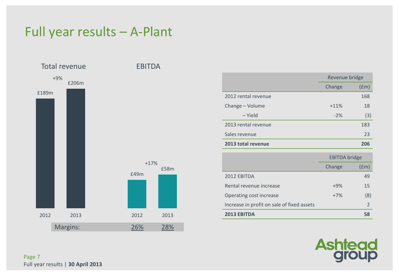### Full year results – A-Plant



|                     | Revenue bridge |                    |
|---------------------|----------------|--------------------|
|                     | Change         | (f <sub>em</sub> ) |
| 2012 rental revenue |                | 168                |
| Change - Volume     | $+11%$         | 18                 |
| - Yield             | $-2%$          | (3)                |
| 2013 rental revenue |                | 183                |
| Sales revenue       |                | 23                 |
| 2013 total revenue  |                | 206                |

|                                            | <b>EBITDA</b> bridge |               |
|--------------------------------------------|----------------------|---------------|
|                                            | Change               | (fm)          |
| 2012 EBITDA                                |                      | 49            |
| Rental revenue increase                    | $+9%$                | 15            |
| Operating cost increase                    | $+7%$                | (8)           |
| Increase in profit on sale of fixed assets |                      | $\mathcal{P}$ |
| <b>2013 EBITDA</b>                         |                      | 58            |

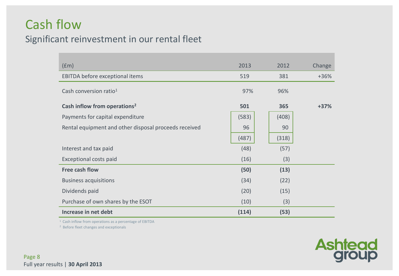### Cash flow

### Significant reinvestment in our rental fleet

| (fm)                                                  | 2013  | 2012  | Change |
|-------------------------------------------------------|-------|-------|--------|
| EBITDA before exceptional items                       | 519   | 381   | $+36%$ |
| Cash conversion ratio <sup>1</sup>                    | 97%   | 96%   |        |
| Cash inflow from operations <sup>2</sup>              | 501   | 365   | $+37%$ |
| Payments for capital expenditure                      | (583) | (408) |        |
| Rental equipment and other disposal proceeds received | 96    | 90    |        |
|                                                       | (487) | (318) |        |
| Interest and tax paid                                 | (48)  | (57)  |        |
| Exceptional costs paid                                | (16)  | (3)   |        |
| <b>Free cash flow</b>                                 | (50)  | (13)  |        |
| <b>Business acquisitions</b>                          | (34)  | (22)  |        |
| Dividends paid                                        | (20)  | (15)  |        |
| Purchase of own shares by the ESOT                    | (10)  | (3)   |        |
| Increase in net debt                                  | (114) | (53)  |        |

<sup>1</sup> Cash inflow from operations as a percentage of EBITDA

2 Before fleet changes and exceptionals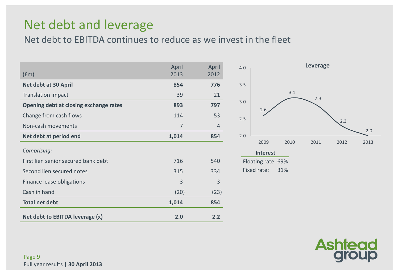### Net debt and leverage

Net debt to EBITDA continues to reduce as we invest in the fleet

| $(\text{fm})$                          | April<br>2013 | April<br>2012 |
|----------------------------------------|---------------|---------------|
| Net debt at 30 April                   | 854           | 776           |
| <b>Translation impact</b>              | 39            | 21            |
| Opening debt at closing exchange rates | 893           | 797           |
| Change from cash flows                 | 114           | 53            |
| Non-cash movements                     | 7             | 4             |
| Net debt at period end                 | 1,014         | 854           |
| Comprising:                            |               |               |
| First lien senior secured bank debt    | 716           | 540           |
| Second lien secured notes              | 315           | 334           |
| Finance lease obligations              | 3             | 3             |
| Cash in hand                           | (20)          | (23)          |
| <b>Total net debt</b>                  | 1,014         | 854           |
| Net debt to EBITDA leverage (x)        | 2.0           | 2.2           |



| <b>Interest</b>    |     |
|--------------------|-----|
| Floating rate: 69% |     |
| Fixed rate:        | 31% |

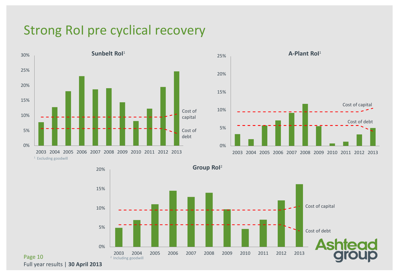### Strong RoI pre cyclical recovery







Page 10 Full year results | **30 April 2013**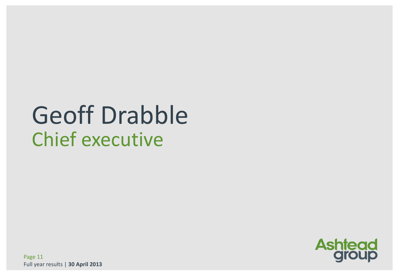# Geoff Drabble Chief executive



Page 11 Full year results | **30 April 2013**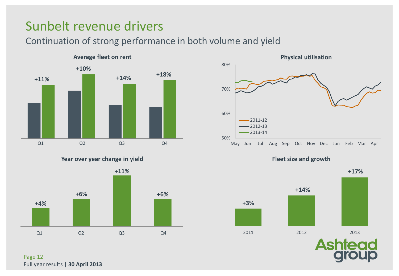### Sunbelt revenue drivers

Continuation of strong performance in both volume and yield



**Year over year change in yield**



Page 12 Full year results | **30 April 2013**



**Fleet size and growth**

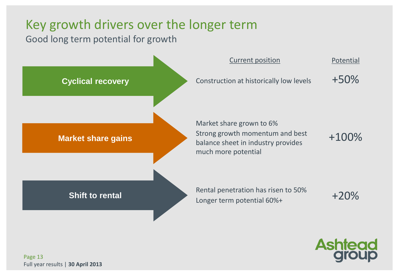### Key growth drivers over the longer term

Good long term potential for growth



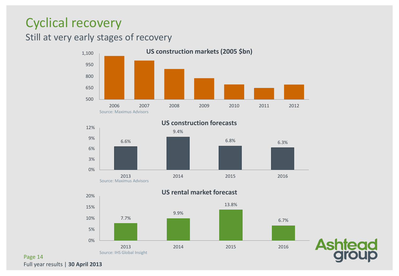### Cyclical recovery

### Still at very early stages of recovery



**US construction forecasts**





#### **US rental market forecast**

Page 14 Full year results | **30 April 2013**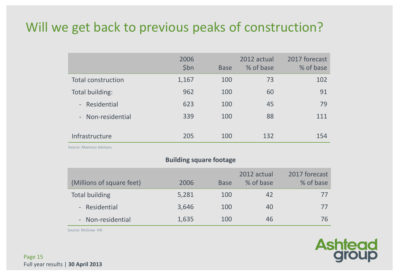### Will we get back to previous peaks of construction?

|                           | 2006<br>\$bn | <b>Base</b> | 2012 actual<br>% of base | 2017 forecast<br>% of base |
|---------------------------|--------------|-------------|--------------------------|----------------------------|
| <b>Total construction</b> | 1,167        | 100         | 73                       | 102                        |
| Total building:           | 962          | 100         | 60                       | 91                         |
| Residential<br>$\sim$ $-$ | 623          | 100         | 45                       | 79                         |
| - Non-residential         | 339          | 100         | 88                       | 111                        |
| Infrastructure            | 205          | 100         | 132                      | 154                        |

Source: Maximus Advisors

#### **Building square footage**

| (Millions of square feet) | 2006  | <b>Base</b> | 2012 actual<br>% of base | 2017 forecast<br>% of base |
|---------------------------|-------|-------------|--------------------------|----------------------------|
| <b>Total building</b>     | 5,281 | 100         | 42                       | $\prime\prime$             |
| - Residential             | 3,646 | 100         | 40                       | $\prime\prime$             |
| - Non-residential         | 1,635 | 100         | 46                       | 76                         |

**Ashtead**<br>group

Source: McGraw Hill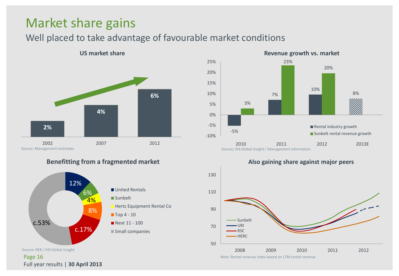### Market share gains

### Well placed to take advantage of favourable market conditions



#### **Benefitting from a fragmented market**



Source: RER / IHS Global Insight

Page 16 Full year results | **30 April 2013**





**Also gaining share against major peers**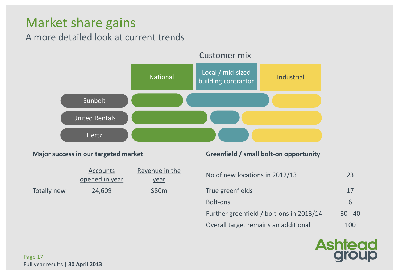### Market share gains

### A more detailed look at current trends



|             | <b>Accounts</b><br>opened in year | Revenue in the<br><u>year</u> | No of new locations in 2012/13 | <u>23</u> |
|-------------|-----------------------------------|-------------------------------|--------------------------------|-----------|
| Totally new | 24,609                            | \$80m                         | True greenfields               |           |

#### **Major success in our targeted market Greenfield / small bolt-on opportunity**

| No of new locations in 2012/13           | 23        |
|------------------------------------------|-----------|
| True greenfields                         | 17        |
| Bolt-ons                                 | 6         |
| Further greenfield / bolt-ons in 2013/14 | $30 - 40$ |
| Overall target remains an additional     | 100       |

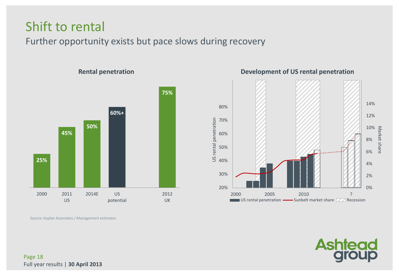### Shift to rental

Further opportunity exists but pace slows during recovery



**Development of US rental penetration**



Source: Kaplan Associates / Management estimates



Page 18 Full year results | **30 April 2013**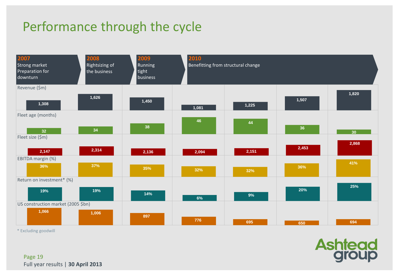## Performance through the cycle



\* Excluding goodwill

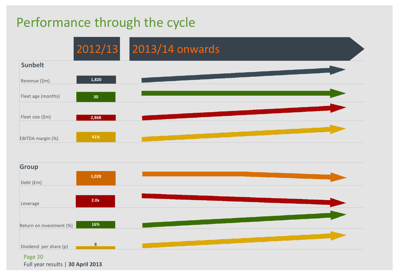### Performance through the cycle





Page 20 Full year results | **30 April 2013**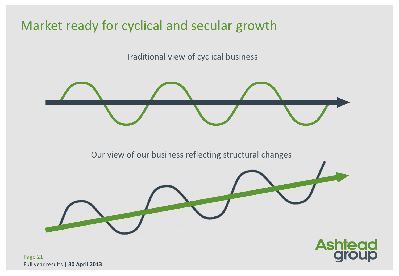### Market ready for cyclical and secular growth

Traditional view of cyclical business

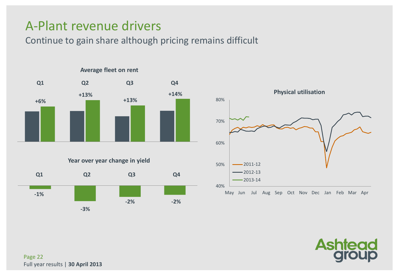### A-Plant revenue drivers

Continue to gain share although pricing remains difficult



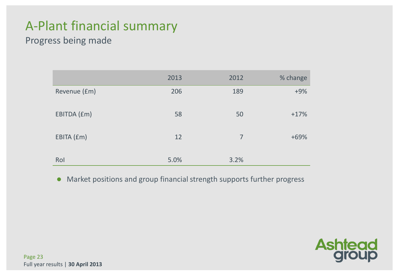### A-Plant financial summary

### Progress being made

|              | 2013 | 2012           | % change |
|--------------|------|----------------|----------|
| Revenue (£m) | 206  | 189            | $+9%$    |
| EBITDA (£m)  | 58   | 50             | $+17%$   |
| EBITA (£m)   | 12   | $\overline{7}$ | $+69%$   |
| Rol          | 5.0% | 3.2%           |          |

Market positions and group financial strength supports further progress

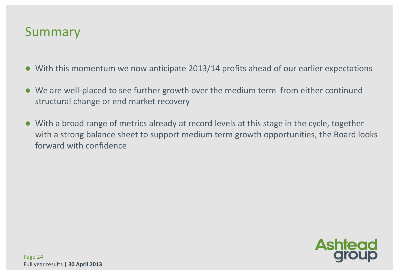### Summary

- With this momentum we now anticipate 2013/14 profits ahead of our earlier expectations
- We are well-placed to see further growth over the medium term from either continued structural change or end market recovery
- With a broad range of metrics already at record levels at this stage in the cycle, together with a strong balance sheet to support medium term growth opportunities, the Board looks forward with confidence

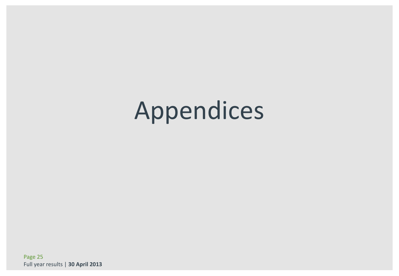# Appendices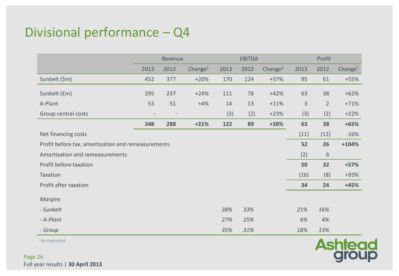### Divisional performance – Q4

|                                                    |      | Profit<br><b>EBITDA</b><br>Revenue |            |      |      |            |              |                |            |
|----------------------------------------------------|------|------------------------------------|------------|------|------|------------|--------------|----------------|------------|
|                                                    | 2013 | 2012                               | Change $1$ | 2013 | 2012 | Change $1$ | 2013         | 2012           | Change $1$ |
| Sunbelt (\$m)                                      | 452  | 377                                | $+20%$     | 170  | 124  | $+37%$     | 95           | 61             | $+55%$     |
| Sunbelt (£m)                                       | 295  | 237                                | $+24%$     | 111  | 78   | $+42%$     | 63           | 38             | $+62%$     |
| A-Plant                                            | 53   | 51                                 | $+4%$      | 14   | 13   | $+11%$     | $\mathbf{3}$ | $\overline{2}$ | $+71%$     |
| Group central costs                                |      |                                    |            | (3)  | (2)  | $+23%$     | (3)          | (2)            | $+22%$     |
|                                                    | 348  | 288                                | $+21%$     | 122  | 89   | +38%       | 63           | 38             | $+65%$     |
| Net financing costs                                |      |                                    |            |      |      |            | (11)         | (12)           | $-16%$     |
| Profit before tax, amortisation and remeasurements |      |                                    |            |      |      |            | 52           | 26             | $+104%$    |
| Amortisation and remeasurements                    |      |                                    |            |      |      |            | (2)          | 6              |            |
| Profit before taxation                             |      |                                    |            |      |      |            | 50           | 32             | $+57%$     |
| Taxation                                           |      |                                    |            |      |      |            | (16)         | (8)            | +93%       |
| Profit after taxation                              |      |                                    |            |      |      |            | 34           | 24             | $+45%$     |
| <b>Margins</b>                                     |      |                                    |            |      |      |            |              |                |            |
| - Sunbelt                                          |      |                                    |            | 38%  | 33%  |            | 21%          | 16%            |            |
| - A-Plant                                          |      |                                    |            | 27%  | 25%  |            | 6%           | 4%             |            |
|                                                    |      |                                    |            | 35%  | 31%  |            | 18%          | 13%            |            |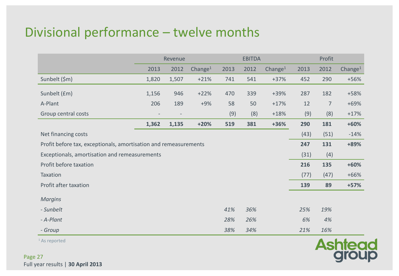### Divisional performance – twelve months

|                                                                  | Revenue |       |                     |      | <b>EBITDA</b> |                     |      | Profit         |                     |  |
|------------------------------------------------------------------|---------|-------|---------------------|------|---------------|---------------------|------|----------------|---------------------|--|
|                                                                  | 2013    | 2012  | Change <sup>1</sup> | 2013 | 2012          | Change <sup>1</sup> | 2013 | 2012           | Change <sup>1</sup> |  |
| Sunbelt (\$m)                                                    | 1,820   | 1,507 | $+21%$              | 741  | 541           | $+37%$              | 452  | 290            | +56%                |  |
| Sunbelt (£m)                                                     | 1,156   | 946   | $+22%$              | 470  | 339           | $+39%$              | 287  | 182            | +58%                |  |
| A-Plant                                                          | 206     | 189   | $+9%$               | 58   | 50            | $+17%$              | 12   | $\overline{7}$ | $+69%$              |  |
| Group central costs                                              |         |       |                     | (9)  | (8)           | $+18%$              | (9)  | (8)            | $+17%$              |  |
|                                                                  | 1,362   | 1,135 | $+20%$              | 519  | 381           | $+36%$              | 290  | 181            | $+60%$              |  |
| Net financing costs                                              |         |       |                     |      |               |                     | (43) | (51)           | $-14%$              |  |
| Profit before tax, exceptionals, amortisation and remeasurements |         |       |                     |      |               |                     | 247  | 131            | +89%                |  |
| Exceptionals, amortisation and remeasurements                    |         |       |                     |      |               |                     | (31) | (4)            |                     |  |
| Profit before taxation                                           |         |       |                     |      |               |                     | 216  | 135            | $+60%$              |  |
| Taxation                                                         |         |       |                     |      |               |                     | (77) | (47)           | $+66%$              |  |
| Profit after taxation                                            |         |       |                     |      |               |                     | 139  | 89             | $+57%$              |  |
| <b>Margins</b>                                                   |         |       |                     |      |               |                     |      |                |                     |  |
| - Sunbelt                                                        |         |       |                     | 41%  | 36%           |                     | 25%  | 19%            |                     |  |
| - A-Plant                                                        |         |       |                     | 28%  | 26%           |                     | 6%   | 4%             |                     |  |
| - Group                                                          |         |       |                     | 38%  | 34%           |                     | 21%  | 16%            |                     |  |

<sup>1</sup> As reported

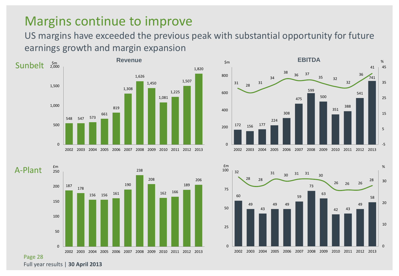### Margins continue to improve

US margins have exceeded the previous peak with substantial opportunity for future earnings growth and margin expansion









Full year results | **30 April 2013**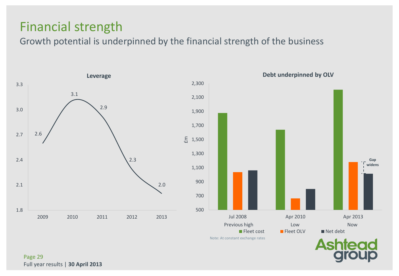### Financial strength

Growth potential is underpinned by the financial strength of the business



Page 29 Full year results | **30 April 2013**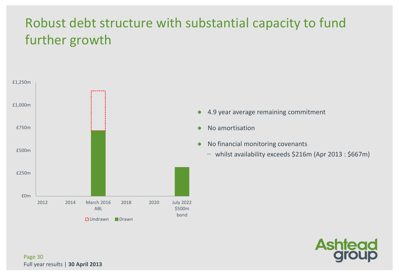## Robust debt structure with substantial capacity to fund further growth



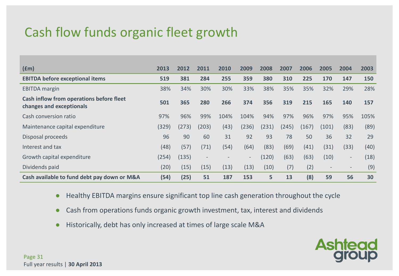## Cash flow funds organic fleet growth

| $(\text{fm})$                                                        | 2013  | 2012  | 2011                     | 2010 | 2009                     | 2008  | 2007  | 2006  | 2005                     | 2004                     | 2003 |
|----------------------------------------------------------------------|-------|-------|--------------------------|------|--------------------------|-------|-------|-------|--------------------------|--------------------------|------|
| <b>EBITDA before exceptional items</b>                               | 519   | 381   | 284                      | 255  | 359                      | 380   | 310   | 225   | 170                      | 147                      | 150  |
| <b>EBITDA</b> margin                                                 | 38%   | 34%   | 30%                      | 30%  | 33%                      | 38%   | 35%   | 35%   | 32%                      | 29%                      | 28%  |
| Cash inflow from operations before fleet<br>changes and exceptionals | 501   | 365   | 280                      | 266  | 374                      | 356   | 319   | 215   | 165                      | 140                      | 157  |
| Cash conversion ratio                                                | 97%   | 96%   | 99%                      | 104% | 104%                     | 94%   | 97%   | 96%   | 97%                      | 95%                      | 105% |
| Maintenance capital expenditure                                      | (329) | (273) | (203)                    | (43) | (236)                    | (231) | (245) | (167) | (101)                    | (83)                     | (89) |
| Disposal proceeds                                                    | 96    | 90    | 60                       | 31   | 92                       | 93    | 78    | 50    | 36                       | 32                       | 29   |
| Interest and tax                                                     | (48)  | (57)  | (71)                     | (54) | (64)                     | (83)  | (69)  | (41)  | (31)                     | (33)                     | (40) |
| Growth capital expenditure                                           | (254) | (135) | $\overline{\phantom{a}}$ |      | $\overline{\phantom{a}}$ | (120) | (63)  | (63)  | (10)                     | $\overline{\phantom{a}}$ | (18) |
| Dividends paid                                                       | (20)  | (15)  | (15)                     | (13) | (13)                     | (10)  | (7)   | (2)   | $\overline{\phantom{a}}$ | $\sim$                   | (9)  |
| Cash available to fund debt pay down or M&A                          | (54)  | (25)  | 51                       | 187  | 153                      | 5     | 13    | (8)   | 59                       | 56                       | 30   |

- Healthy EBITDA margins ensure significant top line cash generation throughout the cycle
- Cash from operations funds organic growth investment, tax, interest and dividends
- Historically, debt has only increased at times of large scale M&A

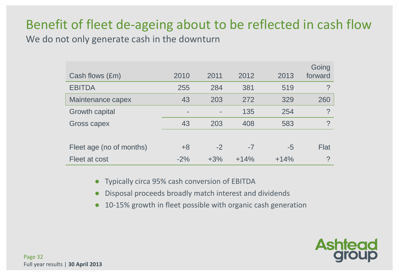### Benefit of fleet de-ageing about to be reflected in cash flow

We do not only generate cash in the downturn

| Cash flows (£m)          | 2010  | 2011  | 2012   | 2013   | Going<br>forward |
|--------------------------|-------|-------|--------|--------|------------------|
| <b>EBITDA</b>            | 255   | 284   | 381    | 519    | $\mathcal{P}$    |
| Maintenance capex        | 43    | 203   | 272    | 329    | 260              |
| Growth capital           |       |       | 135    | 254    | $\mathcal{P}$    |
| Gross capex              | 43    | 203   | 408    | 583    | $\mathcal{P}$    |
|                          |       |       |        |        |                  |
| Fleet age (no of months) | $+8$  | $-2$  | $-7$   | $-5$   | Flat             |
| Fleet at cost            | $-2%$ | $+3%$ | $+14%$ | $+14%$ | ?                |

- Typically circa 95% cash conversion of EBITDA
- Disposal proceeds broadly match interest and dividends
- 10-15% growth in fleet possible with organic cash generation

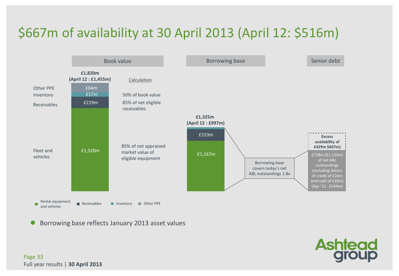## \$667m of availability at 30 April 2013 (April 12: \$516m)



Borrowing base reflects January 2013 asset values



Page 33 Full year results | **30 April 2013**